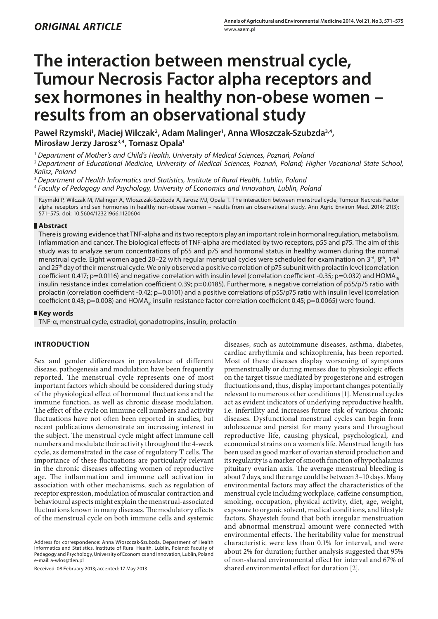# **The interaction between menstrual cycle, Tumour Necrosis Factor alpha receptors and sex hormones in healthy non-obese women – results from an observational study**

Paweł Rzymski<sup>1</sup>, Maciej Wilczak<sup>2</sup>, Adam Malinger<sup>1</sup>, Anna Włoszczak-Szubzda<sup>3,4</sup>, **Mirosław Jerzy Jarosz3,4, Tomasz Opala1**

<sup>1</sup> *Department of Mother's and Child's Health, University of Medical Sciences, Poznań, Poland*

<sup>2</sup> *Department of Educational Medicine, University of Medical Sciences, Poznań, Poland; Higher Vocational State School, Kalisz, Poland*

<sup>3</sup> *Department of Health Informatics and Statistics, Institute of Rural Health, Lublin, Poland*

<sup>4</sup> *Faculty of Pedagogy and Psychology, University of Economics and Innovation, Lublin, Poland*

Rzymski P, Wilczak M, Malinger A, Włoszczak-Szubzda A, Jarosz MJ, Opala T. The interaction between menstrual cycle, Tumour Necrosis Factor alpha receptors and sex hormones in healthy non-obese women – results from an observational study. Ann Agric Environ Med. 2014; 21(3): 571–575. doi: 10.5604/12321966.1120604

## **Abstract**

There is growing evidence that TNF-alpha and its two receptors play an important role in hormonal regulation, metabolism, inflammation and cancer. The biological effects of TNF-alpha are mediated by two receptors, p55 and p75. The aim of this study was to analyze serum concentrations of p55 and p75 and hormonal status in healthy women during the normal menstrual cycle. Eight women aged 20–22 with regular menstrual cycles were scheduled for examination on 3<sup>rd</sup>, 8<sup>th</sup>, 14<sup>th</sup> and 25<sup>th</sup> day of their menstrual cycle. We only observed a positive correlation of p75 subunit with prolactin level (correlation coefficient 0.417; p=0.0116) and negative correlation with insulin level (correlation coefficient -0.35; p=0.032) and HOMA<sub>IB</sub> insulin resistance index correlation coefficient 0.39; p=0.0185). Furthermore, a negative correlation of p55/p75 ratio with prolactin (correlation coefficient -0.42; p=0.0101) and a positive correlations of p55/p75 ratio with insulin level (correlation coefficient 0.43; p=0.008) and HOMA<sub>IP</sub> insulin resistance factor correlation coefficient 0.45; p=0.0065) were found.

## **Key words**

TNF-α, menstrual cycle, estradiol, gonadotropins, insulin, prolactin

# **INTRODUCTION**

Sex and gender differences in prevalence of different disease, pathogenesis and modulation have been frequently reported. The menstrual cycle represents one of most important factors which should be considered during study of the physiological effect of hormonal fluctuations and the immune function, as well as chronic disease modulation. The effect of the cycle on immune cell numbers and activity fluctuations have not often been reported in studies, but recent publications demonstrate an increasing interest in the subject. The menstrual cycle might affect immune cell numbers and modulate their activity throughout the 4-week cycle, as demonstrated in the case of regulatory T cells. The importance of these fluctuations are particularly relevant in the chronic diseases affecting women of reproductive age. The inflammation and immune cell activation in association with other mechanisms, such as regulation of receptor expression, modulation of muscular contraction and behavioural aspects might explain the menstrual-associated fluctuations known in many diseases. The modulatory effects of the menstrual cycle on both immune cells and systemic

Received: 08 February 2013; accepted: 17 May 2013

diseases, such as autoimmune diseases, asthma, diabetes, cardiac arrhythmia and schizophrenia, has been reported. Most of these diseases display worsening of symptoms premenstrually or during menses due to physiologic effects on the target tissue mediated by progesterone and estrogen fluctuations and, thus, display important changes potentially relevant to numerous other conditions [1]. Menstrual cycles act as evident indicators of underlying reproductive health, i.e. infertility and increases future risk of various chronic diseases. Dysfunctional menstrual cycles can begin from adolescence and persist for many years and throughout reproductive life, causing physical, psychological, and economical strains on a women's life. Menstrual length has been used as good marker of ovarian steroid production and its regularity is a marker of smooth function of hypothalamus pituitary ovarian axis. The average menstrual bleeding is about 7 days, and the range could be between 3–10 days. Many environmental factors may affect the characteristics of the menstrual cycle including workplace, caffeine consumption, smoking, occupation, physical activity, diet, age, weight, exposure to organic solvent, medical conditions, and lifestyle factors. Shayesteh found that both irregular menstruation and abnormal menstrual amount were connected with environmental effects. The heritability value for menstrual characteristic were less than 0.1% for interval, and were about 2% for duration; further analysis suggested that 95% of non-shared environmental effect for interval and 67% of shared environmental effect for duration [2].

Address for correspondence: Anna Włoszczak-Szubzda, Department of Health Informatics and Statistics, Institute of Rural Health, Lublin, Poland; Faculty of Pedagogy and Psychology, University of Economics and Innovation, Lublin, Poland e-mail: a-wlos@tlen.pl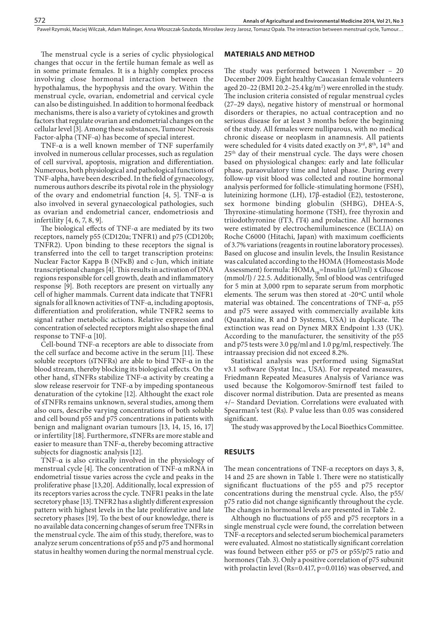Paweł Rzymski, Maciej Wilczak, Adam Malinger, Anna Włoszczak-Szubzda, Mirosław Jerzy Jarosz, Tomasz Opala . The interaction between menstrual cycle, Tumour…

The menstrual cycle is a series of cyclic physiological changes that occur in the fertile human female as well as in some primate females. It is a highly complex process involving close hormonal interaction between the hypothalamus, the hypophysis and the ovary. Within the menstrual cycle, ovarian, endometrial and cervical cycle can also be distinguished. In addition to hormonal feedback mechanisms, there is also a variety of cytokines and growth factors that regulate ovarian and endometrial changes on the cellular level [3]. Among these substances, Tumour Necrosis Factor-alpha (TNF-α) has become of special interest.

TNF-α is a well known member of TNF superfamily involved in numerous cellular processes, such as regulation of cell survival, apoptosis, migration and differentiation. Numerous, both physiological and pathological functions of TNF-alpha, have been described. In the field of gynaecology, numerous authors describe its pivotal role in the physiology of the ovary and endometrial function [4, 5]. TNF- $\alpha$  is also involved in several gynaecological pathologies, such as ovarian and endometrial cancer, endometriosis and infertility [4, 6, 7, 8, 9].

The biological effects of TNF-α are mediated by its two receptors, namely p55 (CD120a; TNFR1) and p75 (CD120b; TNFR2). Upon binding to these receptors the signal is transferred into the cell to target transcription proteins: Nuclear Factor Kappa B (NFκB) and c-Jun, which initiate transcriptional changes [4]. This results in activation of DNA regions responsible for cell growth, death and inflammatory response [9]. Both receptors are present on virtually any cell of higher mammals. Current data indicate that TNFR1 signals for all known activities of TNF-α, including apoptosis, differentiation and proliferation, while TNFR2 seems to signal rather metabolic actions. Relative expression and concentration of selected receptors might also shape the final response to TNF-α [10].

Cell-bound TNF-α receptors are able to dissociate from the cell surface and become active in the serum [11]. These soluble receptors (sTNFRs) are able to bind TNF-α in the blood stream, thereby blocking its biological effects. On the other hand, sTNFRs stabilize TNF-α activity by creating a slow release reservoir for TNF-α by impeding spontaneous denaturation of the cytokine [12]. Althought the exact role of sTNFRs remains unknown, several studies, among them also ours, describe varying concentrations of both soluble and cell bound p55 and p75 concentrations in patients with benign and malignant ovarian tumours [13, 14, 15, 16, 17] or infertility [18]. Furthermore, sTNFRs are more stable and easier to measure than TNF-α, thereby becoming attractive subjects for diagnostic analysis [12].

TNF-α is also critically involved in the physiology of menstrual cycle [4]. The concentration of TNF-α mRNA in endometrial tissue varies across the cycle and peaks in the proliferative phase [13,20]. Additionally, local expression of its receptors varies across the cycle. TNFR1 peaks in the late secretory phase [13]. TNFR2 has a slightly different expression pattern with highest levels in the late proliferative and late secretory phases [19]. To the best of our knowledge, there is no available data concerning changes of serum free TNFRs in the menstrual cycle. The aim of this study, therefore, was to analyze serum concentrations of p55 and p75 and hormonal status in healthy women during the normal menstrual cycle.

#### **MATERIALS AND METHOD**

The study was performed between 1 November – 20 December 2009. Eight healthy Caucasian female volunteers aged 20–22 (BMI 20.2–25.4 kg/m<sup>2</sup>) were enrolled in the study. The inclusion criteria consisted of regular menstrual cycles (27–29 days), negative history of menstrual or hormonal disorders or therapies, no actual contraception and no serious disease for at least 3 months before the beginning of the study. All females were nulliparous, with no medical chronic disease or neoplasm in anamnesis. All patients were scheduled for 4 visits dated exactly on 3<sup>rd</sup>, 8<sup>th</sup>, 14<sup>th</sup> and 25th day of their menstrual cycle. The days were chosen based on physiological changes: early and late follicular phase, paraovulatory time and luteal phase. During every follow-up visit blood was collected and routine hormonal analysis performed for follicle-stimulating hormone (FSH), luteinizing hormone (LH), 17β-estadiol (E2), testosterone, sex hormone binding globulin (SHBG), DHEA-S, Thyroxine-stimulating hormone (TSH), free thyroxin and triiodothyronine (fT3, fT4) and prolactine. All hormones were estimated by electrochemiluminescence (ECLIA) on Roche C6000 (Hitachi, Japan) with maximum coefficients of 3.7% variations (reagents in routine laboratory processes). Based on glucose and insulin levels, the Insulin Resistance was calculated according to the HOMA (Homeostasis Mode Assessment) formula:  $HOMA_{IR}$ =Insulin ( $\mu$ U/ml) x Glucose (mmol/l) / 22.5. Additionally, 5ml of blood was centrifuged for 5 min at 3,000 rpm to separate serum from morphotic elements. The serum was then stored at -20ºC until whole material was obtained. The concentrations of TNF-α, p55 and p75 were assayed with commercially available kits (Quantakine, R and D Systems, USA) in duplicate. The extinction was read on Dynex MRX Endpoint 1.33 (UK). According to the manufacturer, the sensitivity of the p55 and p75 tests were 3.0 pg/ml and 1.0 pg/ml, respectively. The intraassay precision did not exceed 8.2%.

Statistical analysis was performed using SigmaStat v3.1 software (Systat Inc., USA). For repeated measures, Friedmann Repeated Measures Analysis of Variance was used because the Kolgomorov-Smirnoff test failed to discover normal distribution. Data are presented as means +/– Standard Deviation. Correlations were evaluated with Spearman's test (Rs). P value less than 0.05 was considered significant.

The study was approved by the Local Bioethics Committee.

#### **RESULTS**

The mean concentrations of TNF-α receptors on days 3, 8, 14 and 25 are shown in Table 1. There were no statistically significant fluctuations of the p55 and p75 receptor concentrations during the menstrual cycle. Also, the p55/ p75 ratio did not change significantly throughout the cycle. The changes in hormonal levels are presented in Table 2.

Although no fluctuations of p55 and p75 receptors in a single menstrual cycle were found, the correlation between TNF-α receptors and selected serum biochemical parameters were evaluated. Almost no statistically significant correlation was found between either p55 or p75 or p55/p75 ratio and hormones (Tab. 3). Only a positive correlation of p75 subunit with prolactin level (Rs=0.417, p=0.0116) was observed, and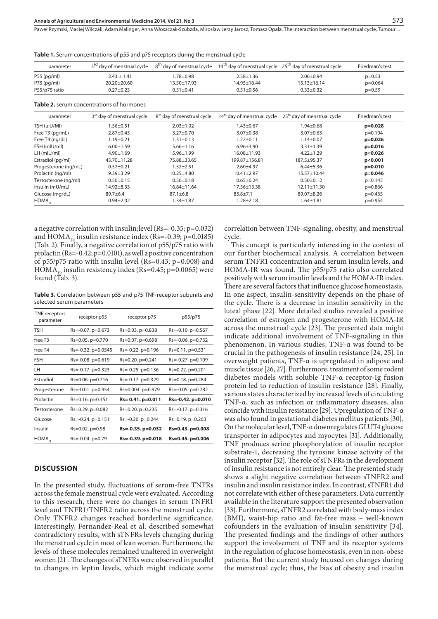2.87±0.43 1.19±0.21  $6.00 \pm 1.59$ 4.90±1.69 43.70±11.28  $0.57 + 0.21$ 9.39±3.29 0.50±0.15 14.92±8.33 89.7±6.4 0.94±2.02

Paweł Rzymski, Maciej Wilczak, Adam Malinger, Anna Włoszczak-Szubzda, Mirosław Jerzy Jarosz, Tomasz Opala . The interaction between menstrual cycle, Tumour…

| parameter     | 3 <sup>rd</sup> day of menstrual cycle    |                                        | $8th$ day of menstrual cycle $14th$ day of menstrual cycle $25th$ day of menstrual cycle |                                                             | Friedman's test |
|---------------|-------------------------------------------|----------------------------------------|------------------------------------------------------------------------------------------|-------------------------------------------------------------|-----------------|
| $P55$ (pg/ml) | $2.43 \pm 1.41$                           | $.78 + 0.98$                           | $2.58 + 1.36$                                                                            | $2.06 + 0.94$                                               | $p=0.53$        |
| P75 (pg/ml)   | $20.20 + 20.60$                           | $13.50 + 17.93$                        | $14.95 + 16.44$                                                                          | $15.13 + 16.14$                                             | $p=0.064$       |
| P55/p75 ratio | $0.27 + 0.23$                             | $0.51 + 0.41$                          | $0.51 + 0.56$                                                                            | $0.33 \pm 0.32$                                             | $p=0.59$        |
|               | Table 2. serum concentrations of hormones |                                        |                                                                                          |                                                             |                 |
|               |                                           |                                        |                                                                                          |                                                             |                 |
| parameter     | 3rd day of menstrual cycle                | 8 <sup>th</sup> day of menstrual cycle |                                                                                          | $14th$ day of menstrual cycle $25th$ day of menstrual cycle | Friedman's test |
| TSH (uIU/MI)  | $.56 \pm 0.51$                            | $2.03 \pm 1.02$                        | 1.43±0.67                                                                                | 1.94±0.68                                                   | $p=0.028$       |

3.07±0.38 1.22±0.11 6.96±3.90 16.08±11.93 199.87±156.81 2.60±4.97 10.41±2.97 0.65±0.24 17.56±13.38 85.8±7.1 1.28±2.18

3.27±0.70 1.31±0.13 5.66±1.16 5.96±1.99 75.88±33.65 1.52±2.51 10.25±4.80 0.56±0.18 16.84±11.64 87.1±6.8 1.34±1.87

**Table 1.** Serum concentrations of p55 and p75 receptors during the menstrual cycle

**Table 3.** Correlation between p55 and p75 TNF-receptor subunits and selected serum parameters

| TNF receptors<br>parameter | receptor p55                | receptor p75               | p55/p75                    |
|----------------------------|-----------------------------|----------------------------|----------------------------|
| <b>TSH</b>                 | $Rs = -0.07$ . $p = 0.673$  | $Rs = 0.03$ . $p = 0.838$  | $Rs = -0.10$ . $p = 0.567$ |
| free T <sub>3</sub>        | $Rs = 0.05$ . $p = 0.770$   | $Rs = 0.07$ . $p = 0.698$  | $Rs = -0.06$ . $p = 0.732$ |
| free T4                    | $Rs = -0.32$ , $p = 0.0545$ | $Rs = -0.22$ . $p = 0.196$ | $Rs = 0.11$ . $p = 0.531$  |
| <b>FSH</b>                 | $Rs = -0.08$ . $p = 0.619$  | $Rs=0.20$ . $p=0.241$      | $Rs = -0.27$ . $p = 0.109$ |
| LН                         | $Rs = -0.17$ . $p = 0.323$  | $Rs = -0.25$ . $p = 0.136$ | Rs=0.22. p=0.201           |
| Estradiol                  | Rs=0.06. p=0.716            | $Rs = -0.17$ . $p = 0.329$ | $Rs = 0.18$ , $p = 0.284$  |
| Progesterone               | Rs=-0.01. p=0.954           | $Rs = 0.004$ , $p = 0.979$ | $Rs = -0.05$ . $p = 0.782$ |
| Prolactin                  | $Rs = 0.16$ . $p = 0.351$   | $Rs = 0.41$ . $p = 0.011$  | $Rs = -0.42$ , $p = 0.010$ |
| Testosterone               | $Rs = 0.29$ . $p = 0.082$   | $Rs = 0.20$ . $p = 0.235$  | $Rs = -0.17$ . $p = 0.316$ |
| Glucose                    | $Rs = -0.24$ , $p = 0.151$  | $Rs = -0.20$ , $p = 0.244$ | $Rs = 0.19$ . $p = 0.263$  |
| Insulin                    | $Rs = 0.02$ , $p = 0.98$    | $Rs = -0.35$ , $p = 0.032$ | $Rs = 0.43$ . $p = 0.008$  |
| HOMA <sub>1D</sub>         | $Rs = -0.04$ . $p = 0.79$   | $Rs = -0.39$ , $p = 0.018$ | Rs=0.45. p=0.006           |

#### **DISCUSSION**

Free T3 (pg/mL) Free T4 (ng/dL) FSH (mIU/ml) LH (mIU/ml) Estradiol (pg/ml) Progesterone (ng/mL) Prolactin (ng/ml) Testosterone (ng/ml) Insulin (mU/mL) Glucose (mg/dL) HOMA,

In the presented study, fluctuations of serum-free TNFRs across the female menstrual cycle were evaluated. According to this research, there were no changes in serum TNFR1 level and TNFR1/TNFR2 ratio across the menstrual cycle. Only TNFR2 changes reached borderline significance. Interestingly, Fernandez-Real et al. described somewhat contradictory results, with sTNFRs levels changing during the menstrual cycle in most of lean women. Furthermore, the levels of these molecules remained unaltered in overweight women [21]. The changes of sTNFRs were observed in parallel to changes in leptin levels, which might indicate some

correlation between TNF-signaling, obesity, and menstrual cycle.

3.07±0.63 1.14±0.07 3.31±1.39 4.22±1.29 187.5±95.37 6.44±5.36 15.57±10.44 0.50±0.12 12.11±11.30 89.07±8.26 1.64±1.81

This concept is particularly interesting in the context of our further biochemical analysis. A correlation between serum TNFR1 concentration and serum insulin levels, and HOMA-IR was found. The p55/p75 ratio also correlated positively with serum insulin levels and the HOMA-IR index. There are several factors that influence glucose homeostasis. In one aspect, insulin-sensitivity depends on the phase of the cycle. There is a decrease in insulin sensitivity in the luteal phase [22]. More detailed studies revealed a positive correlation of estrogen and progesterone with HOMA-IR across the menstrual cycle [23]. The presented data might indicate additional involvement of TNF-signaling in this phenomenon. In various studies, TNF-α was found to be crucial in the pathogenesis of insulin resistance [24, 25]. In overweight patients, TNF-α is upregulated in adipose and muscle tissue [26, 27]. Furthermore, treatment of some rodent diabetes models with soluble TNF-α receptor-Ig fusion protein led to reduction of insulin resistance [28]. Finally, various states characterized by increased levels of circulating TNF-α, such as infection or inflammatory diseases, also coincide with insulin resistance [29]. Upregulation of TNF-α was also found in gestational diabetes mellitus patients [30]. On the molecular level, TNF-α downregulates GLUT4 glucose transporter in adipocytes and myocytes [31]. Additionally, TNF produces serine phosphorylation of insulin receptor substrate-1, decreasing the tyrosine kinase activity of the insulin receptor [32]. The role of sTNFRs in the development of insulin resistance is not entirely clear. The presented study shows a slight negative correlation between sTNFR2 and insulin and insulin resistance index. In contrast, sTNFR1 did not correlate with either of these parameters. Data currently available in the literature support the presented observation [33]. Furthermore, sTNFR2 correlated with body-mass index (BMI), waist-hip ratio and fat-free mass – well-known cofounders in the evaluation of insulin sensitivity [34]. The presented findings and the findings of other authors support the involvement of TNF and its receptor systems in the regulation of glucose homeostasis, even in non-obese patients. But the current study focused on changes during the menstrual cycle; thus, the bias of obesity and insulin

p=0.104 **p=0.026 p=0.016 p=0.026 p<0.001 p=0.010 p=0.046** p=0.145 p=0.866 p=0.435 p=0.954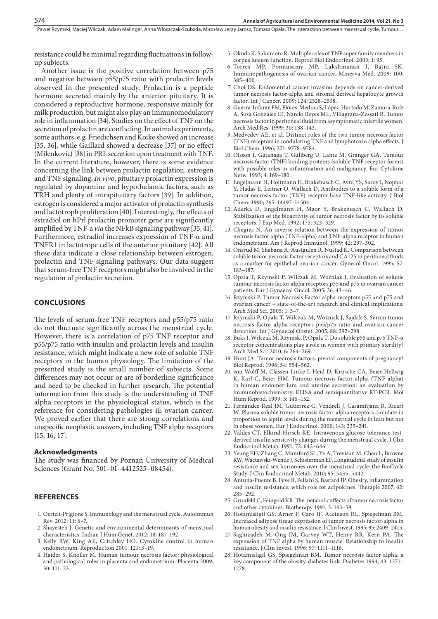Paweł Rzymski, Maciej Wilczak, Adam Malinger, Anna Włoszczak-Szubzda, Mirosław Jerzy Jarosz, Tomasz Opala . The interaction between menstrual cycle, Tumour…

resistance could be minimal regarding fluctuations in followup subjects.

Another issue is the positive correlation between p75 and negative between p55/p75 ratio with prolactin levels observed in the presented study. Prolactin is a peptide hormone secreted mainly by the anterior pituitary. It is considered a reproductive hormone, responsive mainly for milk production, but might also play an immunomodulatory role in inflammation [34]. Studies on the effect of TNF on the secretion of prolactin are conflicting. In animal experiments, some authors, e.g. Friedichsen and Koike showed an increase [35, 36], while Gaillard showed a decrease [37] or no effect (Milenkovic) [38] in PRL secretion upon treatment with TNF. In the current literature, however, there is some evidence concerning the link between prolactin regulation, estrogen and TNF signaling. *In vivo*, pituitary prolactin expression is regulated by dopamine and hypothalamic factors, such as TRH and plenty of intrapituitary factors [39]. In addition, estrogen is considered a major activator of prolactin synthesis and lactotroph proliferation [40]. Interestingly, the effects of estradiol on hPrl prolactin promoter gene are significantly amplified by TNF-a *via* the NFkB signaling pathway [35, 41]. Furthermore, estradiol increases expression of TNF-α and TNFR1 in lactotrope cells of the anterior pituitary [42]. All these data indicate a close relationship between estrogen, prolactin and TNF signaling pathways. Our data suggest that serum-free TNF receptors might also be involved in the regulation of prolactin secretion.

#### **CONCLUSIONS**

The levels of serum-free TNF receptors and p55/p75 ratio do not fluctuate significantly across the menstrual cycle. However, there is a correlation of p75 TNF receptor and p55/p75 ratio with insulin and prolactin levels and insulin resistance, which might indicate a new role of soluble TNF receptors in the human physiology. The limitation of the presented study is the small number of subjects. Some differences may not occur or are of borderline significance and need to be checked in further research. The potential information from this study is the understanding of TNF alpha receptors in the physiological status, which is the reference for considering pathologies iE ovarian cancer. We proved earlier that there are strong correlations and unspecific neoplastic answers, including TNF alpha receptors [15, 16, 17].

#### **Acknowledgments**

The study was financed by Poznań University of Medical Sciences (Grant No. 501–01–4412525–08454).

#### **REFERENCES**

- 1. [Oertelt-Prigione S](http://www.ncbi.nlm.nih.gov/pubmed?term=Oertelt-Prigione S%5BAuthor%5D&cauthor=true&cauthor_uid=22155200). Immunology and the menstrual cycle. [Autoimmun](http://www.ncbi.nlm.nih.gov/pubmed/22155200##) [Rev](http://www.ncbi.nlm.nih.gov/pubmed/22155200##). 2012; 11: 6–7.
- 2. Shayesteh J. Genetic and environmental determinants of menstrual characteristics. Indian J Hum Genet. 2012; 18: 187–192.
- 3. Kelly RW, King AE, Critchley HO. Cytokine control in human endometrium. Reproduction 2001; 121: 3–19.
- 4. Haider S, Knofler M. Human tumour necrosis factor: physiological and pathological roles in placenta and endometrium. Placenta 2009; 30: 111–23.
- 5. Okuda K, Sakumoto R. Multiple roles of TNF super family members in corpus luteum function. Reprod Biol Endocrinol. 2003; 1: 95.
- 6. Torres MP, Ponnusamy MP, Lakshmanan I, Batra SK. Immunopathogenesis of ovarian cancer. Minerva Med. 2009; 100: 385–400.
- 7. Choi DS. Endometrial cancer invasion depends on cancer-derived tumor necrosis factor-alpha and stromal derived hepatocyte growth factor. Int J Cancer. 2009; 124: 2528–2538.
- 8. Guerra-Infante FM, Flores-Medina S, López-Hurtado M, Zamora-Ruíz A, Sosa González IE, Narcio Reyes ML, Villagrana-Zessati R. Tumor necrosis factor in peritoneal fluid from asymptomatic infertile women. Arch Med Res. 1999; 30: 138–143.
- 9. Medvedev AE, et al. Distinct roles of the two tumor necrosis factor (TNF) receptors in modulating TNF and lymphotoxin alpha effects. J Biol Chem. 1996; 271: 9778–9784.
- 10. Olsson I, [Gatanaga T,](http://www.ncbi.nlm.nih.gov/pubmed?term=%22Gatanaga T%22%5BAuthor%5D) [Gullberg U](http://www.ncbi.nlm.nih.gov/pubmed?term=%22Gullberg U%22%5BAuthor%5D), [Lantz M](http://www.ncbi.nlm.nih.gov/pubmed?term=%22Lantz M%22%5BAuthor%5D), [Granger GA](http://www.ncbi.nlm.nih.gov/pubmed?term=%22Granger GA%22%5BAuthor%5D). Tumour necrosis factor (TNF) binding proteins (soluble TNF receptor forms) with possible roles in inflammation and malignancy. Eur Cytokine Netw. 1993; 4: 169–180.
- 11. Engelmann H, Holtmann H, Brakebusch C, Avni YS, Sarov I, Nophar Y, Hadas E, Leitner O, Wallach D. Antibodies to a soluble form of a tumor necrosis factor (TNF) receptor have TNF-like activity. J Biol Chem. 1990; 265: 14497–14504.
- 12. Aderka D, Engelmann H, Maor Y, Brakebusch C, Wallach D. Stabilization of the bioactivity of tumor necrosis factor by its soluble receptors. J Exp Med. 1992; 175: 323–329.
- 13. Chegini N. An inverse relation between the expression of tumor necrosis factor alpha (TNF-alpha) and TNF-alpha receptor in human endometrium. Am J Reprod Immunol. 1999; 42: 297–302.
- 14. Onsrud M, [Shabana A,](http://www.ncbi.nlm.nih.gov/pubmed?term=%22Shabana A%22%5BAuthor%5D) [Austgulen R](http://www.ncbi.nlm.nih.gov/pubmed?term=%22Austgulen R%22%5BAuthor%5D), [Nustad K.](http://www.ncbi.nlm.nih.gov/pubmed?term=%22Nustad K%22%5BAuthor%5D) Comparison between soluble tumor necrosis factor receptors and CA125 in peritoneal fluids as a marker for epithelial ovarian cancer. Gynecol Oncol. 1995; 57: 183–187.
- 15. Opala T, Rzymski P, Wilczak M, Woźniak J. Evaluation of soluble tumour necrosis factor alpha receptors p55 and p75 in ovarian cancer patients. Eur J Gynaecol Oncol. 2005; 26: 43–46.
- 16. Rzymski P. Tumor Necrosis Factor alpha receptors p55 and p75 and ovarian cancer – state-of-the-art research and clinical implications. Arch Med Sci. 2005; 1: 3–7.
- 17. Rzymski P, Opala T, Wilczak M, Woźniak J, Sajdak S. Serum tumor necrosis factor alpha receptors p55/p75 ratio and ovarian cancer detection. Int J Gynaecol Obstet. 2005; 88: 292–298.
- 18. Buks J, Wilczak M, Rzymski P, Opala T. Do soluble p55 and p75 TNF-α receptor concentrations play a role in women with primary sterility? Arch Med Sci. 2010; 6: 264–269.
- 19. Hunt JA. Tumor necrosis factors: pivotal components of pregnancy? Biol Reprod. 1996; 54: 554–562.
- 20. von Wolff M, [Classen-Linke I](http://www.ncbi.nlm.nih.gov/pubmed?term=%22Classen-Linke I%22%5BAuthor%5D), [Heid D](http://www.ncbi.nlm.nih.gov/pubmed?term=%22Heid D%22%5BAuthor%5D), [Krusche CA,](http://www.ncbi.nlm.nih.gov/pubmed?term=%22Krusche CA%22%5BAuthor%5D) [Beier-Hellwig](http://www.ncbi.nlm.nih.gov/pubmed?term=%22Beier-Hellwig K%22%5BAuthor%5D)  [K](http://www.ncbi.nlm.nih.gov/pubmed?term=%22Beier-Hellwig K%22%5BAuthor%5D), [Karl C](http://www.ncbi.nlm.nih.gov/pubmed?term=%22Karl C%22%5BAuthor%5D), [Beier HM.](http://www.ncbi.nlm.nih.gov/pubmed?term=%22Beier HM%22%5BAuthor%5D) Tumour necrosis factor-alpha (TNF-alpha) in human endometrium and uterine secretion: an evaluation by immunohistochemistry, ELISA and semiquantitative RT-PCR. Mol Hum Reprod. 1999; 5: 146–152.
- 21. Fernandez-Real JM, [Gutierrez C,](http://www.ncbi.nlm.nih.gov/pubmed?term=%22Gutierrez C%22%5BAuthor%5D) [Vendrell J,](http://www.ncbi.nlm.nih.gov/pubmed?term=%22Vendrell J%22%5BAuthor%5D) [Casamitjana R,](http://www.ncbi.nlm.nih.gov/pubmed?term=%22Casamitjana R%22%5BAuthor%5D) [Ricart](http://www.ncbi.nlm.nih.gov/pubmed?term=%22Ricart W%22%5BAuthor%5D)  [W.](http://www.ncbi.nlm.nih.gov/pubmed?term=%22Ricart W%22%5BAuthor%5D) Plasma soluble tumor necrosis factor-alpha receptors circulate in proportion to leptin levels during the menstrual cycle in lean but not in obese women. Eur J Endocrinol. 2000; 143: 235–241.
- 22. Valdes CT, Elkind-Hirsch KE. Intravenous glucose tolerance testderived insulin sensitivity changes during the menstrual cycle. J Clin Endocrinol Metab. 1991; 72: 642–646.
- 23. Yeung EH, [Zhang C,](http://www.ncbi.nlm.nih.gov/pubmed?term=%22Zhang C%22%5BAuthor%5D) [Mumford SL](http://www.ncbi.nlm.nih.gov/pubmed?term=%22Mumford SL%22%5BAuthor%5D), [Ye A,](http://www.ncbi.nlm.nih.gov/pubmed?term=%22Ye A%22%5BAuthor%5D) [Trevisan M,](http://www.ncbi.nlm.nih.gov/pubmed?term=%22Trevisan M%22%5BAuthor%5D) [Chen L](http://www.ncbi.nlm.nih.gov/pubmed?term=%22Chen L%22%5BAuthor%5D), [Browne](http://www.ncbi.nlm.nih.gov/pubmed?term=%22Browne RW%22%5BAuthor%5D)  [RW](http://www.ncbi.nlm.nih.gov/pubmed?term=%22Browne RW%22%5BAuthor%5D), [Wactawski-Wende J,](http://www.ncbi.nlm.nih.gov/pubmed?term=%22Wactawski-Wende J%22%5BAuthor%5D) [Schisterman EF](http://www.ncbi.nlm.nih.gov/pubmed?term=%22Schisterman EF%22%5BAuthor%5D). Longitudinal study of insulin resistance and sex hormones over the menstrual cycle: the BioCycle Study. J Clin Endocrinol Metab. 2010; 95: 5435–5442.
- 24. Antuna-Puente B, Feve B, Fellahi S, Bastard JP. Obesity, inflammation and insulin resistance: which role for adipokines. Therapie 2007; 62: 285–292.
- 25. Grunfeld C, Feingold KR. The metabolic effects of tumor necrosis factor and other cytokines. Biotherapy 1991; 3: 143–58.
- 26. Hotamisligil GS, [Arner P](http://www.ncbi.nlm.nih.gov/pubmed?term=%22Arner P%22%5BAuthor%5D), [Caro JF,](http://www.ncbi.nlm.nih.gov/pubmed?term=%22Caro JF%22%5BAuthor%5D) [Atkinson RL,](http://www.ncbi.nlm.nih.gov/pubmed?term=%22Atkinson RL%22%5BAuthor%5D) [Spiegelman BM.](http://www.ncbi.nlm.nih.gov/pubmed?term=%22Spiegelman BM%22%5BAuthor%5D) Increased adipose tissue expression of tumor necrosis factor-alpha in human obesity and insulin resistance. J Clin Invest. 1995; 95: 2409–2415.
- 27. Saghizadeh M, [Ong JM,](http://www.ncbi.nlm.nih.gov/pubmed?term=%22Ong JM%22%5BAuthor%5D) [Garvey WT](http://www.ncbi.nlm.nih.gov/pubmed?term=%22Garvey WT%22%5BAuthor%5D), [Henry RR,](http://www.ncbi.nlm.nih.gov/pubmed?term=%22Henry RR%22%5BAuthor%5D) [Kern PA.](http://www.ncbi.nlm.nih.gov/pubmed?term=%22Kern PA%22%5BAuthor%5D) The expression of TNF alpha by human muscle. Relationship to insulin resistance. J Clin Invest. 1996; 97: 1111–1116.
- 28. Hotamisligil GS, Spiegelman BM. Tumor necrosis factor alpha: a key component of the obesity-diabetes link. Diabetes 1994; 43: 1271– 1278.